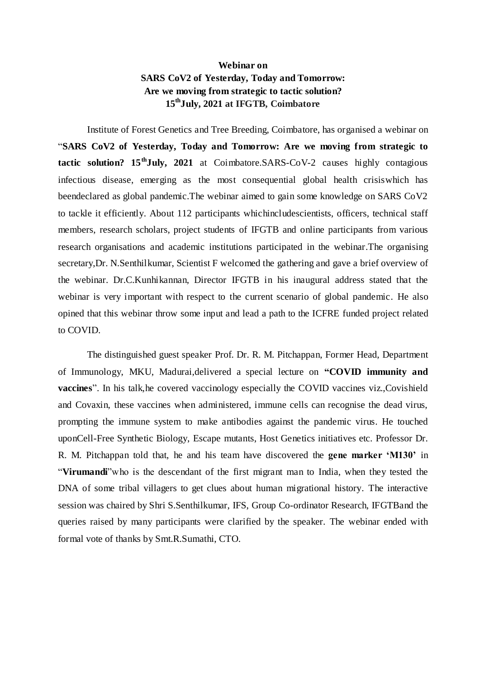## **Webinar on SARS CoV2 of Yesterday, Today and Tomorrow: Are we moving from strategic to tactic solution? 15thJuly, 2021 at IFGTB, Coimbatore**

Institute of Forest Genetics and Tree Breeding, Coimbatore, has organised a webinar on "**SARS CoV2 of Yesterday, Today and Tomorrow: Are we moving from strategic to tactic solution? 15thJuly, 2021** at Coimbatore.SARS-CoV-2 causes highly contagious infectious disease, emerging as the most consequential global health crisiswhich has beendeclared as global pandemic.The webinar aimed to gain some knowledge on SARS CoV2 to tackle it efficiently. About 112 participants whichincludescientists, officers, technical staff members, research scholars, project students of IFGTB and online participants from various research organisations and academic institutions participated in the webinar.The organising secretary,Dr. N.Senthilkumar, Scientist F welcomed the gathering and gave a brief overview of the webinar. Dr.C.Kunhikannan, Director IFGTB in his inaugural address stated that the webinar is very important with respect to the current scenario of global pandemic. He also opined that this webinar throw some input and lead a path to the ICFRE funded project related to COVID.

The distinguished guest speaker Prof. Dr. R. M. Pitchappan, Former Head, Department of Immunology, MKU, Madurai,delivered a special lecture on **"COVID immunity and vaccines**". In his talk, he covered vaccinology especially the COVID vaccines viz., Covishield and Covaxin, these vaccines when administered, immune cells can recognise the dead virus, prompting the immune system to make antibodies against the pandemic virus. He touched uponCell-Free Synthetic Biology, Escape mutants, Host Genetics initiatives etc. Professor Dr. R. M. Pitchappan told that, he and his team have discovered the **gene marker 'M130'** in "**Virumandi**"who is the descendant of the first migrant man to India, when they tested the DNA of some tribal villagers to get clues about human migrational history. The interactive session was chaired by Shri S.Senthilkumar, IFS, Group Co-ordinator Research, IFGTBand the queries raised by many participants were clarified by the speaker. The webinar ended with formal vote of thanks by Smt.R.Sumathi, CTO.